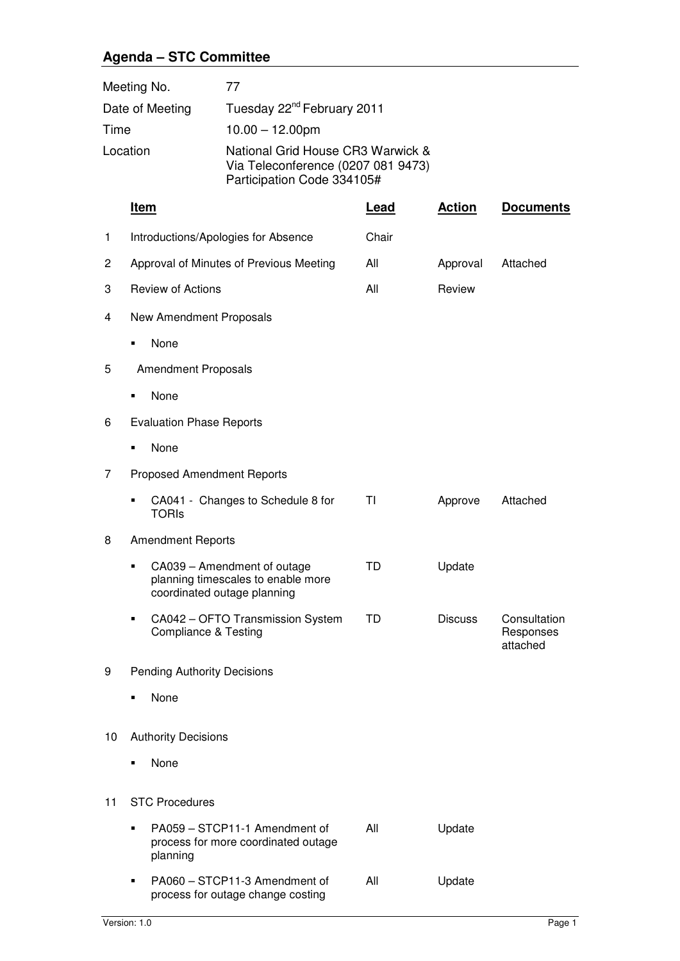## **Agenda – STC Committee**

| Meeting No.     | 77                                                                                                    |
|-----------------|-------------------------------------------------------------------------------------------------------|
| Date of Meeting | Tuesday 22 <sup>nd</sup> February 2011                                                                |
| Time            | $10.00 - 12.00$ pm                                                                                    |
| Location        | National Grid House CR3 Warwick &<br>Via Teleconference (0207 081 9473)<br>Participation Code 334105# |

|    | <u>Item</u>                                                                                           | <b>Lead</b> | <b>Action</b>  | <b>Documents</b>                      |
|----|-------------------------------------------------------------------------------------------------------|-------------|----------------|---------------------------------------|
| 1  | Introductions/Apologies for Absence                                                                   | Chair       |                |                                       |
| 2  | Approval of Minutes of Previous Meeting                                                               | All         | Approval       | Attached                              |
| 3  | <b>Review of Actions</b>                                                                              | All         | Review         |                                       |
| 4  | New Amendment Proposals                                                                               |             |                |                                       |
|    | None<br>٠                                                                                             |             |                |                                       |
| 5  | <b>Amendment Proposals</b>                                                                            |             |                |                                       |
|    | None<br>٠                                                                                             |             |                |                                       |
| 6  | <b>Evaluation Phase Reports</b>                                                                       |             |                |                                       |
|    | None<br>٠                                                                                             |             |                |                                       |
| 7  | <b>Proposed Amendment Reports</b>                                                                     |             |                |                                       |
|    | CA041 - Changes to Schedule 8 for<br><b>TORIS</b>                                                     | ΤI          | Approve        | Attached                              |
| 8  | <b>Amendment Reports</b>                                                                              |             |                |                                       |
|    | CA039 - Amendment of outage<br>٠<br>planning timescales to enable more<br>coordinated outage planning | <b>TD</b>   | Update         |                                       |
|    | CA042 - OFTO Transmission System<br>٠<br><b>Compliance &amp; Testing</b>                              | TD          | <b>Discuss</b> | Consultation<br>Responses<br>attached |
| 9  | <b>Pending Authority Decisions</b>                                                                    |             |                |                                       |
|    | None<br>٠                                                                                             |             |                |                                       |
| 10 | <b>Authority Decisions</b>                                                                            |             |                |                                       |
|    | None                                                                                                  |             |                |                                       |
| 11 | <b>STC Procedures</b>                                                                                 |             |                |                                       |
|    | PA059 - STCP11-1 Amendment of<br>٠<br>process for more coordinated outage<br>planning                 | All         | Update         |                                       |
|    |                                                                                                       |             |                |                                       |